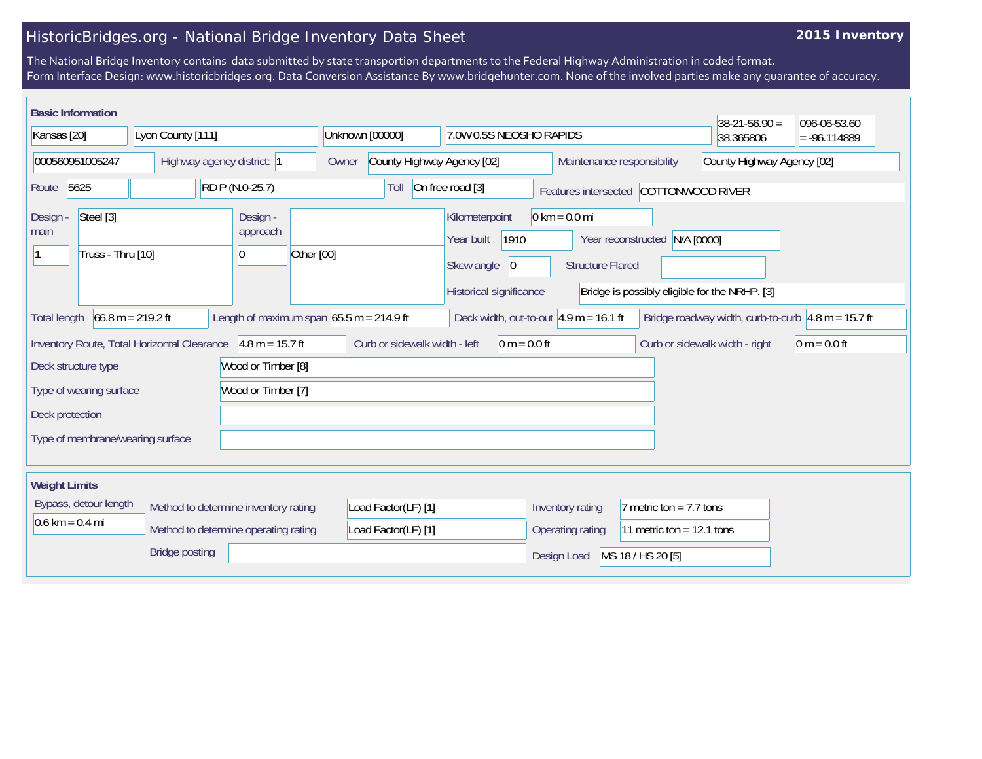## HistoricBridges.org - National Bridge Inventory Data Sheet

## **2015 Inventory**

The National Bridge Inventory contains data submitted by state transportion departments to the Federal Highway Administration in coded format. Form Interface Design: www.historicbridges.org. Data Conversion Assistance By www.bridgehunter.com. None of the involved parties make any guarantee of accuracy.

| <b>Basic Information</b>                                                                                                                                                |  |                                          |                                            |                                                                   |                                                          |                                                            |                               |                                                          | $38-21-56.90 =$                                      | 096-06-53.60   |
|-------------------------------------------------------------------------------------------------------------------------------------------------------------------------|--|------------------------------------------|--------------------------------------------|-------------------------------------------------------------------|----------------------------------------------------------|------------------------------------------------------------|-------------------------------|----------------------------------------------------------|------------------------------------------------------|----------------|
| Kansas [20]                                                                                                                                                             |  | Lyon County [111]                        |                                            | Unknown [00000]                                                   |                                                          | 7.0W 0.5S NEOSHO RAPIDS                                    |                               |                                                          | 38.365806                                            | $= -96.114889$ |
| 000560951005247                                                                                                                                                         |  | Highway agency district: 1               |                                            | Owner                                                             | County Highway Agency [02]                               |                                                            |                               | Maintenance responsibility<br>County Highway Agency [02] |                                                      |                |
| 5625<br>RD P (N.0-25.7)<br>Route                                                                                                                                        |  |                                          |                                            | On free road [3]<br>Toll<br>Features intersected COTTONWOOD RIVER |                                                          |                                                            |                               |                                                          |                                                      |                |
| Steel [3]<br>Design -<br>main<br>Truss - Thru [10]                                                                                                                      |  | Design -<br>approach<br>Other [00]<br>10 |                                            |                                                                   | Kilometerpoint<br>1910<br>Year built<br>Skew angle<br> 0 | $0 \text{ km} = 0.0 \text{ mi}$<br><b>Structure Flared</b> | Year reconstructed N/A [0000] |                                                          |                                                      |                |
|                                                                                                                                                                         |  |                                          |                                            |                                                                   |                                                          | Historical significance                                    |                               |                                                          | Bridge is possibly eligible for the NRHP. [3]        |                |
| <b>Total length</b>                                                                                                                                                     |  | $66.8 m = 219.2 ft$                      | Length of maximum span $65.5$ m = 214.9 ft |                                                                   |                                                          | Deck width, out-to-out $4.9 m = 16.1 ft$                   |                               |                                                          | Bridge roadway width, curb-to-curb $4.8$ m = 15.7 ft |                |
| Curb or sidewalk width - left<br>Inventory Route, Total Horizontal Clearance<br>$4.8 m = 15.7 ft$<br>$0 m = 0.0 ft$<br>Curb or sidewalk width - right<br>$0 m = 0.0 ft$ |  |                                          |                                            |                                                                   |                                                          |                                                            |                               |                                                          |                                                      |                |
| Deck structure type                                                                                                                                                     |  |                                          | Wood or Timber [8]                         |                                                                   |                                                          |                                                            |                               |                                                          |                                                      |                |
| Wood or Timber [7]<br>Type of wearing surface                                                                                                                           |  |                                          |                                            |                                                                   |                                                          |                                                            |                               |                                                          |                                                      |                |
| Deck protection                                                                                                                                                         |  |                                          |                                            |                                                                   |                                                          |                                                            |                               |                                                          |                                                      |                |
| Type of membrane/wearing surface                                                                                                                                        |  |                                          |                                            |                                                                   |                                                          |                                                            |                               |                                                          |                                                      |                |
|                                                                                                                                                                         |  |                                          |                                            |                                                                   |                                                          |                                                            |                               |                                                          |                                                      |                |
| <b>Weight Limits</b>                                                                                                                                                    |  |                                          |                                            |                                                                   |                                                          |                                                            |                               |                                                          |                                                      |                |
| Bypass, detour length<br>Method to determine inventory rating<br>$0.6 \text{ km} = 0.4 \text{ mi}$<br>Method to determine operating rating<br><b>Bridge posting</b>     |  |                                          |                                            | Load Factor(LF) [1]                                               |                                                          | Inventory rating                                           | 7 metric ton = $7.7$ tons     |                                                          |                                                      |                |
|                                                                                                                                                                         |  |                                          |                                            | Load Factor(LF) [1]                                               |                                                          | Operating rating                                           | 11 metric ton = $12.1$ tons   |                                                          |                                                      |                |
|                                                                                                                                                                         |  |                                          |                                            |                                                                   |                                                          | Design Load                                                | MS 18 / HS 20 [5]             |                                                          |                                                      |                |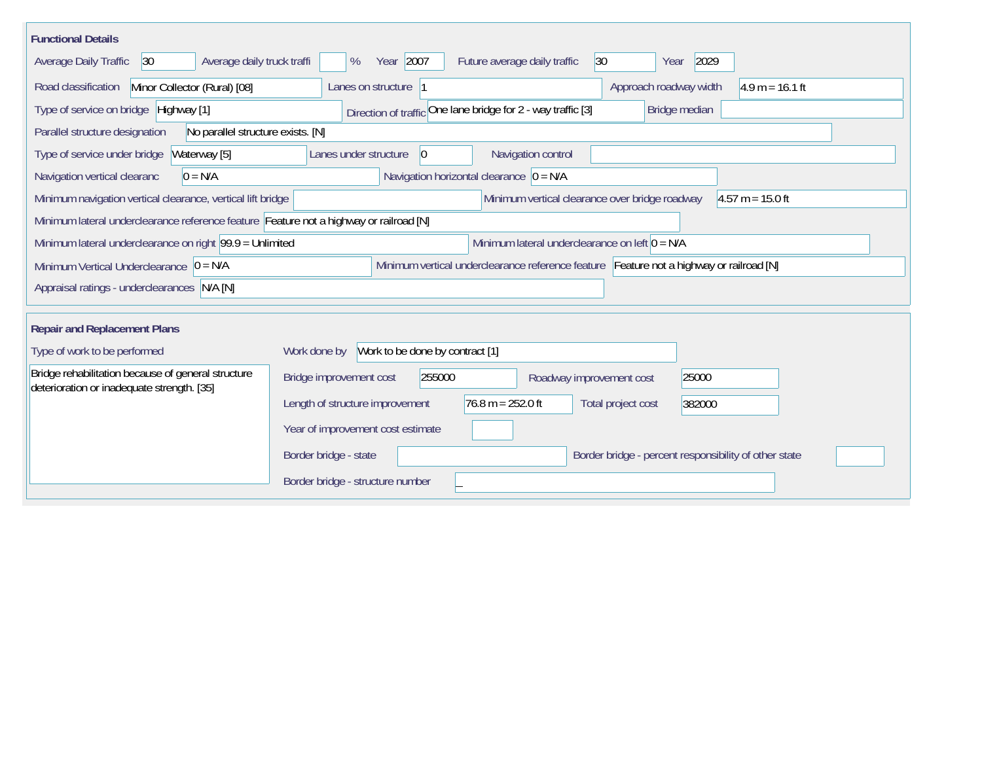| <b>Functional Details</b>                                                                                                             |                                                                                        |  |  |  |  |  |  |  |
|---------------------------------------------------------------------------------------------------------------------------------------|----------------------------------------------------------------------------------------|--|--|--|--|--|--|--|
| Average daily truck traffi<br><b>Average Daily Traffic</b><br> 30                                                                     | Year 2007<br>$ 30\rangle$<br>2029<br>Future average daily traffic<br>%<br>Year         |  |  |  |  |  |  |  |
| Road classification<br>Minor Collector (Rural) [08]                                                                                   | $4.9 m = 16.1 ft$<br>Lanes on structure 1<br>Approach roadway width                    |  |  |  |  |  |  |  |
| Type of service on bridge Highway [1]                                                                                                 | Direction of traffic One lane bridge for 2 - way traffic [3]<br>Bridge median          |  |  |  |  |  |  |  |
| Parallel structure designation<br>No parallel structure exists. [N]                                                                   |                                                                                        |  |  |  |  |  |  |  |
| Type of service under bridge<br>Waterway [5]                                                                                          | Navigation control<br>$ 0\rangle$<br>Lanes under structure                             |  |  |  |  |  |  |  |
| $0 = N/A$<br>Navigation vertical clearanc                                                                                             | Navigation horizontal clearance $\overline{0}$ = N/A                                   |  |  |  |  |  |  |  |
| Minimum navigation vertical clearance, vertical lift bridge                                                                           | Minimum vertical clearance over bridge roadway<br>$4.57 m = 15.0 ft$                   |  |  |  |  |  |  |  |
| Minimum lateral underclearance reference feature Feature not a highway or railroad [N]                                                |                                                                                        |  |  |  |  |  |  |  |
| Minimum lateral underclearance on left $0 = N/A$<br>Minimum lateral underclearance on right $99.9 =$ Unlimited                        |                                                                                        |  |  |  |  |  |  |  |
| Minimum vertical underclearance reference feature Feature not a highway or railroad [N]<br>Minimum Vertical Underclearance $ 0 = N/A$ |                                                                                        |  |  |  |  |  |  |  |
| Appraisal ratings - underclearances N/A [N]                                                                                           |                                                                                        |  |  |  |  |  |  |  |
|                                                                                                                                       |                                                                                        |  |  |  |  |  |  |  |
| <b>Repair and Replacement Plans</b>                                                                                                   |                                                                                        |  |  |  |  |  |  |  |
| Work to be done by contract [1]<br>Type of work to be performed<br>Work done by                                                       |                                                                                        |  |  |  |  |  |  |  |
| Bridge rehabilitation because of general structure<br>deterioration or inadequate strength. [35]                                      | Bridge improvement cost<br>255000<br>25000<br>Roadway improvement cost                 |  |  |  |  |  |  |  |
|                                                                                                                                       | $76.8 m = 252.0 ft$<br>Length of structure improvement<br>Total project cost<br>382000 |  |  |  |  |  |  |  |
|                                                                                                                                       | Year of improvement cost estimate                                                      |  |  |  |  |  |  |  |
|                                                                                                                                       | Border bridge - state<br>Border bridge - percent responsibility of other state         |  |  |  |  |  |  |  |
|                                                                                                                                       | Border bridge - structure number                                                       |  |  |  |  |  |  |  |